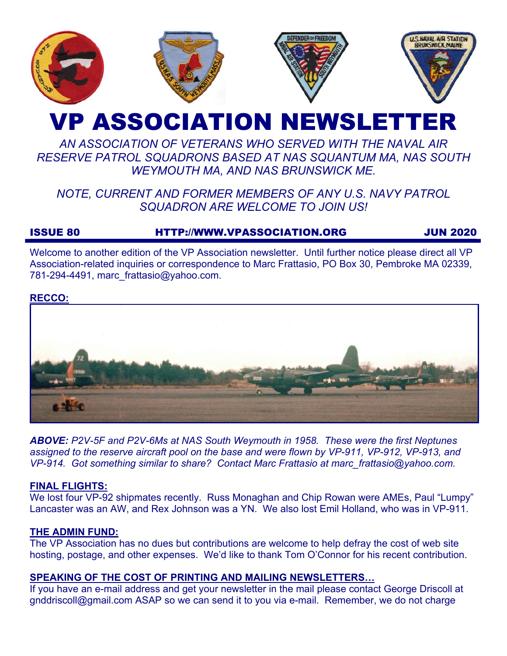

# VP ASSOCIATION NEWSLETTER

# *AN ASSOCIATION OF VETERANS WHO SERVED WITH THE NAVAL AIR RESERVE PATROL SQUADRONS BASED AT NAS SQUANTUM MA, NAS SOUTH WEYMOUTH MA, AND NAS BRUNSWICK ME.*

# *NOTE, CURRENT AND FORMER MEMBERS OF ANY U.S. NAVY PATROL SQUADRON ARE WELCOME TO JOIN US!*

# ISSUE 80 HTTP://WWW.VPASSOCIATION.ORG JUN 2020

Welcome to another edition of the VP Association newsletter. Until further notice please direct all VP Association-related inquiries or correspondence to Marc Frattasio, PO Box 30, Pembroke MA 02339, 781-294-4491, marc\_frattasio@yahoo.com.

# **RECCO:**



*ABOVE: P2V-5F and P2V-6Ms at NAS South Weymouth in 1958. These were the first Neptunes assigned to the reserve aircraft pool on the base and were flown by VP-911, VP-912, VP-913, and VP-914. Got something similar to share? Contact Marc Frattasio at marc\_frattasio@yahoo.com.* 

#### **FINAL FLIGHTS:**

We lost four VP-92 shipmates recently. Russ Monaghan and Chip Rowan were AMEs, Paul "Lumpy" Lancaster was an AW, and Rex Johnson was a YN. We also lost Emil Holland, who was in VP-911.

#### **THE ADMIN FUND:**

The VP Association has no dues but contributions are welcome to help defray the cost of web site hosting, postage, and other expenses. We'd like to thank Tom O'Connor for his recent contribution.

#### **SPEAKING OF THE COST OF PRINTING AND MAILING NEWSLETTERS…**

If you have an e-mail address and get your newsletter in the mail please contact George Driscoll at gnddriscoll@gmail.com ASAP so we can send it to you via e-mail. Remember, we do not charge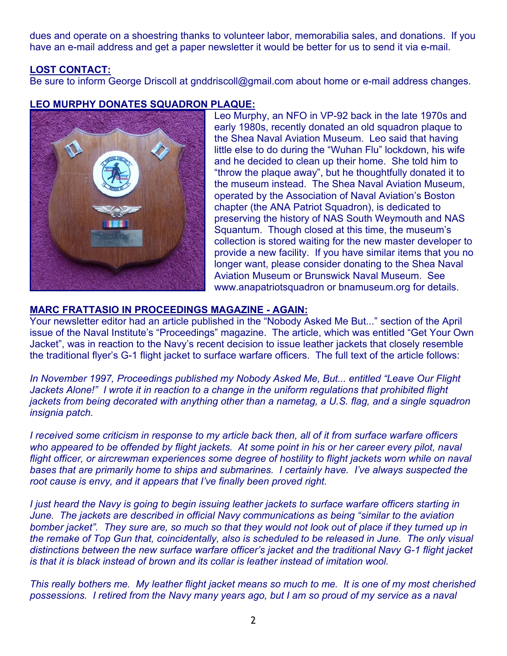dues and operate on a shoestring thanks to volunteer labor, memorabilia sales, and donations. If you have an e-mail address and get a paper newsletter it would be better for us to send it via e-mail.

# **LOST CONTACT:**

Be sure to inform George Driscoll at gnddriscoll@gmail.com about home or e-mail address changes.

# **LEO MURPHY DONATES SQUADRON PLAQUE:**



Leo Murphy, an NFO in VP-92 back in the late 1970s and early 1980s, recently donated an old squadron plaque to the Shea Naval Aviation Museum. Leo said that having little else to do during the "Wuhan Flu" lockdown, his wife and he decided to clean up their home. She told him to "throw the plaque away", but he thoughtfully donated it to the museum instead. The Shea Naval Aviation Museum, operated by the Association of Naval Aviation's Boston chapter (the ANA Patriot Squadron), is dedicated to preserving the history of NAS South Weymouth and NAS Squantum. Though closed at this time, the museum's collection is stored waiting for the new master developer to provide a new facility. If you have similar items that you no longer want, please consider donating to the Shea Naval Aviation Museum or Brunswick Naval Museum. See www.anapatriotsquadron or bnamuseum.org for details.

#### **MARC FRATTASIO IN PROCEEDINGS MAGAZINE - AGAIN:**

Your newsletter editor had an article published in the "Nobody Asked Me But..." section of the April issue of the Naval Institute's "Proceedings" magazine. The article, which was entitled "Get Your Own Jacket", was in reaction to the Navy's recent decision to issue leather jackets that closely resemble the traditional flyer's G-1 flight jacket to surface warfare officers. The full text of the article follows:

*In November 1997, Proceedings published my Nobody Asked Me, But... entitled "Leave Our Flight Jackets Alone!" I wrote it in reaction to a change in the uniform regulations that prohibited flight jackets from being decorated with anything other than a nametag, a U.S. flag, and a single squadron insignia patch.* 

*I received some criticism in response to my article back then, all of it from surface warfare officers who appeared to be offended by flight jackets. At some point in his or her career every pilot, naval flight officer, or aircrewman experiences some degree of hostility to flight jackets worn while on naval bases that are primarily home to ships and submarines. I certainly have. I've always suspected the root cause is envy, and it appears that I've finally been proved right.* 

*I just heard the Navy is going to begin issuing leather jackets to surface warfare officers starting in June. The jackets are described in official Navy communications as being "similar to the aviation bomber jacket". They sure are, so much so that they would not look out of place if they turned up in the remake of Top Gun that, coincidentally, also is scheduled to be released in June. The only visual distinctions between the new surface warfare officer's jacket and the traditional Navy G-1 flight jacket is that it is black instead of brown and its collar is leather instead of imitation wool.* 

*This really bothers me. My leather flight jacket means so much to me. It is one of my most cherished possessions. I retired from the Navy many years ago, but I am so proud of my service as a naval*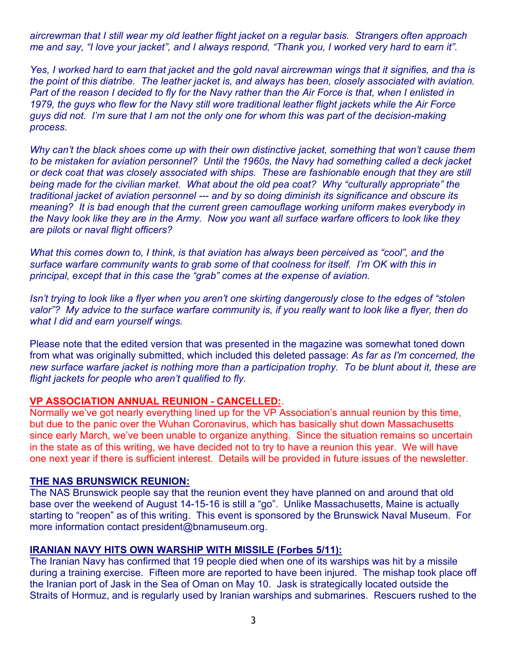*aircrewman that I still wear my old leather flight jacket on a regular basis. Strangers often approach me and say, "I love your jacket", and I always respond, "Thank you, I worked very hard to earn it".* 

*Yes, I worked hard to earn that jacket and the gold naval aircrewman wings that it signifies, and tha is the point of this diatribe. The leather jacket is, and always has been, closely associated with aviation. Part of the reason I decided to fly for the Navy rather than the Air Force is that, when I enlisted in 1979, the guys who flew for the Navy still wore traditional leather flight jackets while the Air Force guys did not. I'm sure that I am not the only one for whom this was part of the decision-making process.* 

*Why can't the black shoes come up with their own distinctive jacket, something that won't cause them*  to be mistaken for aviation personnel? Until the 1960s, the Navy had something called a deck jacket *or deck coat that was closely associated with ships. These are fashionable enough that they are still being made for the civilian market. What about the old pea coat? Why "culturally appropriate" the traditional jacket of aviation personnel --- and by so doing diminish its significance and obscure its meaning? It is bad enough that the current green camouflage working uniform makes everybody in the Navy look like they are in the Army. Now you want all surface warfare officers to look like they are pilots or naval flight officers?* 

*What this comes down to, I think, is that aviation has always been perceived as "cool", and the surface warfare community wants to grab some of that coolness for itself. I'm OK with this in principal, except that in this case the "grab" comes at the expense of aviation.* 

*Isn't trying to look like a flyer when you aren't one skirting dangerously close to the edges of "stolen valor"? My advice to the surface warfare community is, if you really want to look like a flyer, then do what I did and earn yourself wings.* 

Please note that the edited version that was presented in the magazine was somewhat toned down from what was originally submitted, which included this deleted passage: *As far as I'm concerned, the new surface warfare jacket is nothing more than a participation trophy. To be blunt about it, these are flight jackets for people who aren't qualified to fly.* 

#### **VP ASSOCIATION ANNUAL REUNION - CANCELLED:**.

Normally we've got nearly everything lined up for the VP Association's annual reunion by this time, but due to the panic over the Wuhan Coronavirus, which has basically shut down Massachusetts since early March, we've been unable to organize anything. Since the situation remains so uncertain in the state as of this writing, we have decided not to try to have a reunion this year. We will have one next year if there is sufficient interest. Details will be provided in future issues of the newsletter.

#### **THE NAS BRUNSWICK REUNION:**

The NAS Brunswick people say that the reunion event they have planned on and around that old base over the weekend of August 14-15-16 is still a "go". Unlike Massachusetts, Maine is actually starting to "reopen" as of this writing. This event is sponsored by the Brunswick Naval Museum. For more information contact president@bnamuseum.org.

#### **IRANIAN NAVY HITS OWN WARSHIP WITH MISSILE (Forbes 5/11):**

The Iranian Navy has confirmed that 19 people died when one of its warships was hit by a missile during a training exercise. Fifteen more are reported to have been injured. The mishap took place off the Iranian port of Jask in the Sea of Oman on May 10. Jask is strategically located outside the Straits of Hormuz, and is regularly used by Iranian warships and submarines. Rescuers rushed to the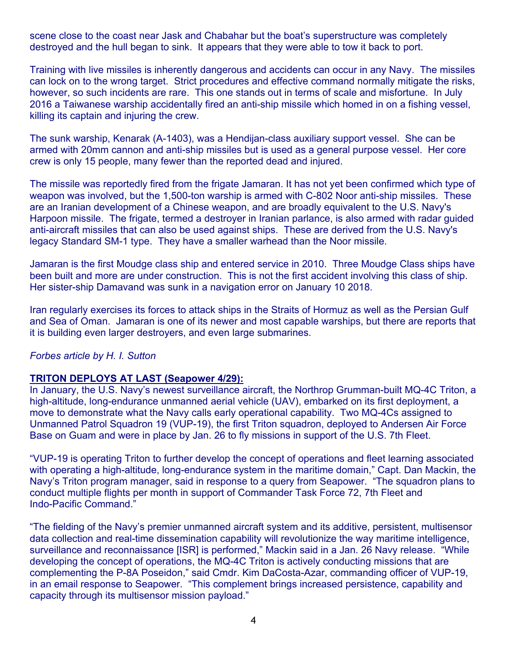scene close to the coast near Jask and Chabahar but the boat's superstructure was completely destroyed and the hull began to sink. It appears that they were able to tow it back to port.

Training with live missiles is inherently dangerous and accidents can occur in any Navy. The missiles can lock on to the wrong target. Strict procedures and effective command normally mitigate the risks, however, so such incidents are rare. This one stands out in terms of scale and misfortune. In July 2016 a Taiwanese warship accidentally fired an anti-ship missile which homed in on a fishing vessel, killing its captain and injuring the crew.

The sunk warship, Kenarak (A-1403), was a Hendijan-class auxiliary support vessel. She can be armed with 20mm cannon and anti-ship missiles but is used as a general purpose vessel. Her core crew is only 15 people, many fewer than the reported dead and injured.

The missile was reportedly fired from the frigate Jamaran. It has not yet been confirmed which type of weapon was involved, but the 1,500-ton warship is armed with C-802 Noor anti-ship missiles. These are an Iranian development of a Chinese weapon, and are broadly equivalent to the U.S. Navy's Harpoon missile. The frigate, termed a destroyer in Iranian parlance, is also armed with radar guided anti-aircraft missiles that can also be used against ships. These are derived from the U.S. Navy's legacy Standard SM-1 type. They have a smaller warhead than the Noor missile.

Jamaran is the first Moudge class ship and entered service in 2010. Three Moudge Class ships have been built and more are under construction. This is not the first accident involving this class of ship. Her sister-ship Damavand was sunk in a navigation error on January 10 2018.

Iran regularly exercises its forces to attack ships in the Straits of Hormuz as well as the Persian Gulf and Sea of Oman. Jamaran is one of its newer and most capable warships, but there are reports that it is building even larger destroyers, and even large submarines.

#### *Forbes article by H. I. Sutton*

#### **TRITON DEPLOYS AT LAST (Seapower 4/29):**

In January, the U.S. Navy's newest surveillance aircraft, the Northrop Grumman-built MQ-4C Triton, a high-altitude, long-endurance unmanned aerial vehicle (UAV), embarked on its first deployment, a move to demonstrate what the Navy calls early operational capability. Two MQ-4Cs assigned to Unmanned Patrol Squadron 19 (VUP-19), the first Triton squadron, deployed to Andersen Air Force Base on Guam and were in place by Jan. 26 to fly missions in support of the U.S. 7th Fleet.

"VUP-19 is operating Triton to further develop the concept of operations and fleet learning associated with operating a high-altitude, long-endurance system in the maritime domain," Capt. Dan Mackin, the Navy's Triton program manager, said in response to a query from Seapower. "The squadron plans to conduct multiple flights per month in support of Commander Task Force 72, 7th Fleet and Indo-Pacific Command."

"The fielding of the Navy's premier unmanned aircraft system and its additive, persistent, multisensor data collection and real-time dissemination capability will revolutionize the way maritime intelligence, surveillance and reconnaissance [ISR] is performed," Mackin said in a Jan. 26 Navy release. "While developing the concept of operations, the MQ-4C Triton is actively conducting missions that are complementing the P-8A Poseidon," said Cmdr. Kim DaCosta-Azar, commanding officer of VUP-19, in an email response to Seapower. "This complement brings increased persistence, capability and capacity through its multisensor mission payload."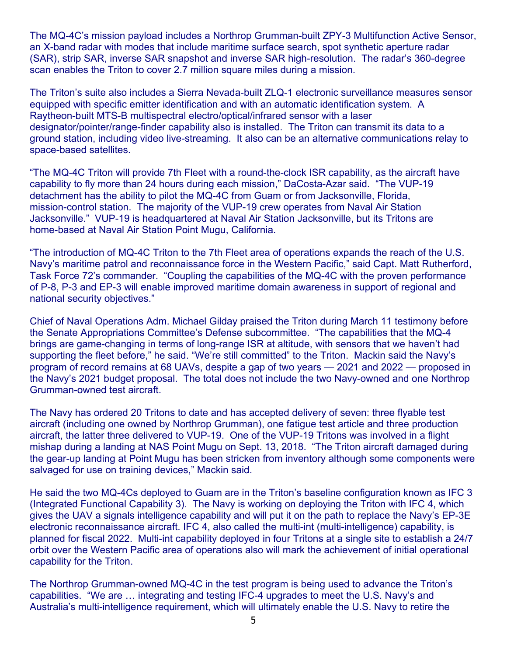The MQ-4C's mission payload includes a Northrop Grumman-built ZPY-3 Multifunction Active Sensor, an X-band radar with modes that include maritime surface search, spot synthetic aperture radar (SAR), strip SAR, inverse SAR snapshot and inverse SAR high-resolution. The radar's 360-degree scan enables the Triton to cover 2.7 million square miles during a mission.

The Triton's suite also includes a Sierra Nevada-built ZLQ-1 electronic surveillance measures sensor equipped with specific emitter identification and with an automatic identification system. A Raytheon-built MTS-B multispectral electro/optical/infrared sensor with a laser designator/pointer/range-finder capability also is installed. The Triton can transmit its data to a ground station, including video live-streaming. It also can be an alternative communications relay to space-based satellites.

"The MQ-4C Triton will provide 7th Fleet with a round-the-clock ISR capability, as the aircraft have capability to fly more than 24 hours during each mission," DaCosta-Azar said. "The VUP-19 detachment has the ability to pilot the MQ-4C from Guam or from Jacksonville, Florida, mission-control station. The majority of the VUP-19 crew operates from Naval Air Station Jacksonville." VUP-19 is headquartered at Naval Air Station Jacksonville, but its Tritons are home-based at Naval Air Station Point Mugu, California.

"The introduction of MQ-4C Triton to the 7th Fleet area of operations expands the reach of the U.S. Navy's maritime patrol and reconnaissance force in the Western Pacific," said Capt. Matt Rutherford, Task Force 72's commander. "Coupling the capabilities of the MQ-4C with the proven performance of P-8, P-3 and EP-3 will enable improved maritime domain awareness in support of regional and national security objectives."

Chief of Naval Operations Adm. Michael Gilday praised the Triton during March 11 testimony before the Senate Appropriations Committee's Defense subcommittee. "The capabilities that the MQ-4 brings are game-changing in terms of long-range ISR at altitude, with sensors that we haven't had supporting the fleet before," he said. "We're still committed" to the Triton. Mackin said the Navy's program of record remains at 68 UAVs, despite a gap of two years — 2021 and 2022 — proposed in the Navy's 2021 budget proposal. The total does not include the two Navy-owned and one Northrop Grumman-owned test aircraft.

The Navy has ordered 20 Tritons to date and has accepted delivery of seven: three flyable test aircraft (including one owned by Northrop Grumman), one fatigue test article and three production aircraft, the latter three delivered to VUP-19. One of the VUP-19 Tritons was involved in a flight mishap during a landing at NAS Point Mugu on Sept. 13, 2018. "The Triton aircraft damaged during the gear-up landing at Point Mugu has been stricken from inventory although some components were salvaged for use on training devices," Mackin said.

He said the two MQ-4Cs deployed to Guam are in the Triton's baseline configuration known as IFC 3 (Integrated Functional Capability 3). The Navy is working on deploying the Triton with IFC 4, which gives the UAV a signals intelligence capability and will put it on the path to replace the Navy's EP-3E electronic reconnaissance aircraft. IFC 4, also called the multi-int (multi-intelligence) capability, is planned for fiscal 2022. Multi-int capability deployed in four Tritons at a single site to establish a 24/7 orbit over the Western Pacific area of operations also will mark the achievement of initial operational capability for the Triton.

The Northrop Grumman-owned MQ-4C in the test program is being used to advance the Triton's capabilities. "We are … integrating and testing IFC-4 upgrades to meet the U.S. Navy's and Australia's multi-intelligence requirement, which will ultimately enable the U.S. Navy to retire the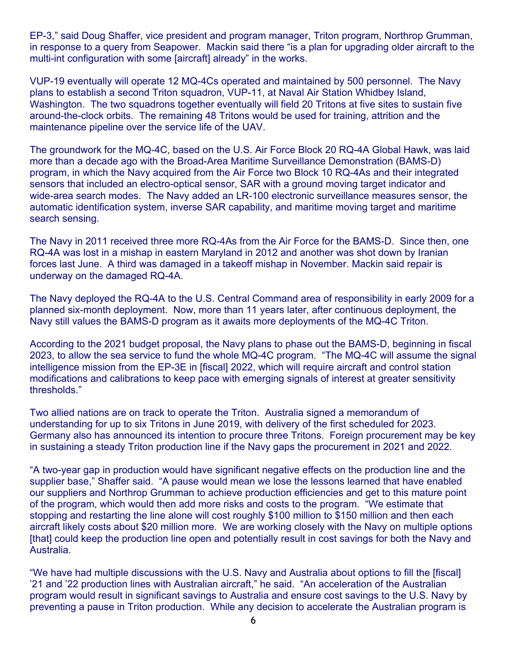EP-3," said Doug Shaffer, vice president and program manager, Triton program, Northrop Grumman, in response to a query from Seapower. Mackin said there "is a plan for upgrading older aircraft to the multi-int configuration with some [aircraft] already" in the works.

VUP-19 eventually will operate 12 MQ-4Cs operated and maintained by 500 personnel. The Navy plans to establish a second Triton squadron, VUP-11, at Naval Air Station Whidbey Island, Washington. The two squadrons together eventually will field 20 Tritons at five sites to sustain five around-the-clock orbits. The remaining 48 Tritons would be used for training, attrition and the maintenance pipeline over the service life of the UAV.

The groundwork for the MQ-4C, based on the U.S. Air Force Block 20 RQ-4A Global Hawk, was laid more than a decade ago with the Broad-Area Maritime Surveillance Demonstration (BAMS-D) program, in which the Navy acquired from the Air Force two Block 10 RQ-4As and their integrated sensors that included an electro-optical sensor, SAR with a ground moving target indicator and wide-area search modes. The Navy added an LR-100 electronic surveillance measures sensor, the automatic identification system, inverse SAR capability, and maritime moving target and maritime search sensing.

The Navy in 2011 received three more RQ-4As from the Air Force for the BAMS-D. Since then, one RQ-4A was lost in a mishap in eastern Maryland in 2012 and another was shot down by Iranian forces last June. A third was damaged in a takeoff mishap in November. Mackin said repair is underway on the damaged RQ-4A.

The Navy deployed the RQ-4A to the U.S. Central Command area of responsibility in early 2009 for a planned six-month deployment. Now, more than 11 years later, after continuous deployment, the Navy still values the BAMS-D program as it awaits more deployments of the MQ-4C Triton.

According to the 2021 budget proposal, the Navy plans to phase out the BAMS-D, beginning in fiscal 2023, to allow the sea service to fund the whole MQ-4C program. "The MQ-4C will assume the signal intelligence mission from the EP-3E in [fiscal] 2022, which will require aircraft and control station modifications and calibrations to keep pace with emerging signals of interest at greater sensitivity thresholds."

Two allied nations are on track to operate the Triton. Australia signed a memorandum of understanding for up to six Tritons in June 2019, with delivery of the first scheduled for 2023. Germany also has announced its intention to procure three Tritons. Foreign procurement may be key in sustaining a steady Triton production line if the Navy gaps the procurement in 2021 and 2022.

"A two-year gap in production would have significant negative effects on the production line and the supplier base," Shaffer said. "A pause would mean we lose the lessons learned that have enabled our suppliers and Northrop Grumman to achieve production efficiencies and get to this mature point of the program, which would then add more risks and costs to the program. "We estimate that stopping and restarting the line alone will cost roughly \$100 million to \$150 million and then each aircraft likely costs about \$20 million more. We are working closely with the Navy on multiple options [that] could keep the production line open and potentially result in cost savings for both the Navy and Australia.

"We have had multiple discussions with the U.S. Navy and Australia about options to fill the [fiscal] '21 and '22 production lines with Australian aircraft," he said. "An acceleration of the Australian program would result in significant savings to Australia and ensure cost savings to the U.S. Navy by preventing a pause in Triton production. While any decision to accelerate the Australian program is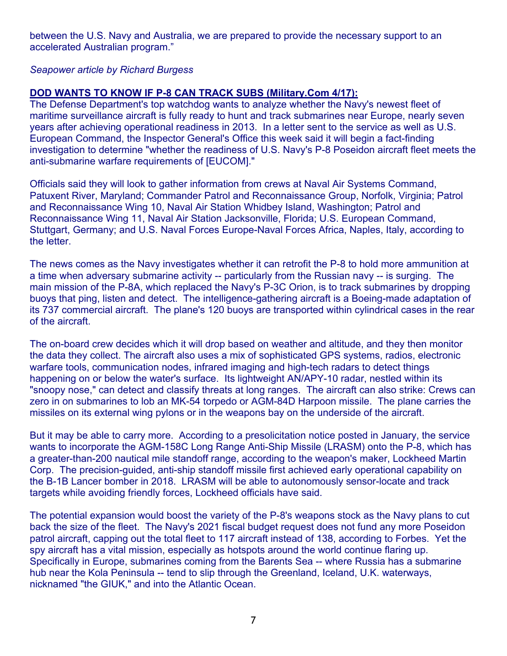between the U.S. Navy and Australia, we are prepared to provide the necessary support to an accelerated Australian program."

#### *Seapower article by Richard Burgess*

# **DOD WANTS TO KNOW IF P-8 CAN TRACK SUBS (Military.Com 4/17):**

The Defense Department's top watchdog wants to analyze whether the Navy's newest fleet of maritime surveillance aircraft is fully ready to hunt and track submarines near Europe, nearly seven years after achieving operational readiness in 2013. In a letter sent to the service as well as U.S. European Command, the Inspector General's Office this week said it will begin a fact-finding investigation to determine "whether the readiness of U.S. Navy's P-8 Poseidon aircraft fleet meets the anti-submarine warfare requirements of [EUCOM]."

Officials said they will look to gather information from crews at Naval Air Systems Command, Patuxent River, Maryland; Commander Patrol and Reconnaissance Group, Norfolk, Virginia; Patrol and Reconnaissance Wing 10, Naval Air Station Whidbey Island, Washington; Patrol and Reconnaissance Wing 11, Naval Air Station Jacksonville, Florida; U.S. European Command, Stuttgart, Germany; and U.S. Naval Forces Europe-Naval Forces Africa, Naples, Italy, according to the letter.

The news comes as the Navy investigates whether it can retrofit the P-8 to hold more ammunition at a time when adversary submarine activity -- particularly from the Russian navy -- is surging. The main mission of the P-8A, which replaced the Navy's P-3C Orion, is to track submarines by dropping buoys that ping, listen and detect. The intelligence-gathering aircraft is a Boeing-made adaptation of its 737 commercial aircraft. The plane's 120 buoys are transported within cylindrical cases in the rear of the aircraft.

The on-board crew decides which it will drop based on weather and altitude, and they then monitor the data they collect. The aircraft also uses a mix of sophisticated GPS systems, radios, electronic warfare tools, communication nodes, infrared imaging and high-tech radars to detect things happening on or below the water's surface. Its lightweight AN/APY-10 radar, nestled within its "snoopy nose," can detect and classify threats at long ranges. The aircraft can also strike: Crews can zero in on submarines to lob an MK-54 torpedo or AGM-84D Harpoon missile. The plane carries the missiles on its external wing pylons or in the weapons bay on the underside of the aircraft.

But it may be able to carry more. According to a presolicitation notice posted in January, the service wants to incorporate the AGM-158C Long Range Anti-Ship Missile (LRASM) onto the P-8, which has a greater-than-200 nautical mile standoff range, according to the weapon's maker, Lockheed Martin Corp. The precision-guided, anti-ship standoff missile first achieved early operational capability on the B-1B Lancer bomber in 2018. LRASM will be able to autonomously sensor-locate and track targets while avoiding friendly forces, Lockheed officials have said.

The potential expansion would boost the variety of the P-8's weapons stock as the Navy plans to cut back the size of the fleet. The Navy's 2021 fiscal budget request does not fund any more Poseidon patrol aircraft, capping out the total fleet to 117 aircraft instead of 138, according to Forbes. Yet the spy aircraft has a vital mission, especially as hotspots around the world continue flaring up. Specifically in Europe, submarines coming from the Barents Sea -- where Russia has a submarine hub near the Kola Peninsula -- tend to slip through the Greenland, Iceland, U.K. waterways, nicknamed "the GIUK," and into the Atlantic Ocean.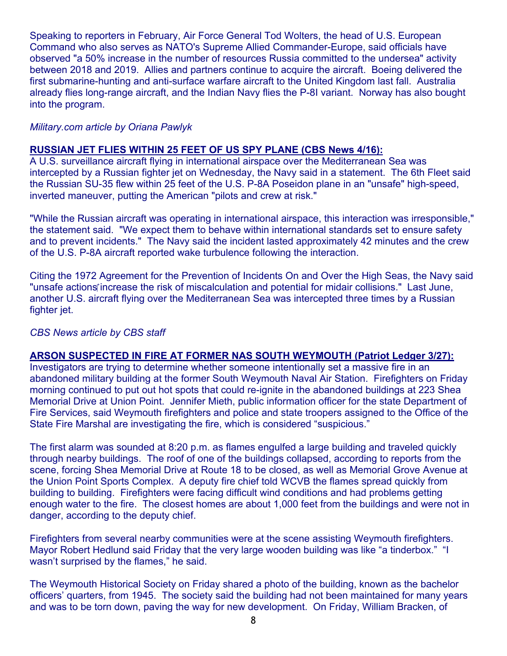Speaking to reporters in February, Air Force General Tod Wolters, the head of U.S. European Command who also serves as NATO's Supreme Allied Commander-Europe, said officials have observed "a 50% increase in the number of resources Russia committed to the undersea" activity between 2018 and 2019. Allies and partners continue to acquire the aircraft. Boeing delivered the first submarine-hunting and anti-surface warfare aircraft to the United Kingdom last fall. Australia already flies long-range aircraft, and the Indian Navy flies the P-8I variant. Norway has also bought into the program.

#### *Military.com article by Oriana Pawlyk*

#### **RUSSIAN JET FLIES WITHIN 25 FEET OF US SPY PLANE (CBS News 4/16):**

A U.S. surveillance aircraft flying in international airspace over the Mediterranean Sea was intercepted by a Russian fighter jet on Wednesday, the Navy said in a statement. The 6th Fleet said the Russian SU-35 flew within 25 feet of the U.S. P-8A Poseidon plane in an "unsafe" high-speed, inverted maneuver, putting the American "pilots and crew at risk."

"While the Russian aircraft was operating in international airspace, this interaction was irresponsible," the statement said. "We expect them to behave within international standards set to ensure safety and to prevent incidents." The Navy said the incident lasted approximately 42 minutes and the crew of the U.S. P-8A aircraft reported wake turbulence following the interaction.

Citing the 1972 Agreement for the Prevention of Incidents On and Over the High Seas, the Navy said "unsafe actions increase the risk of miscalculation and potential for midair collisions." Last June, another U.S. aircraft flying over the Mediterranean Sea was intercepted three times by a Russian fighter jet.

#### *CBS News article by CBS staff*

#### **ARSON SUSPECTED IN FIRE AT FORMER NAS SOUTH WEYMOUTH (Patriot Ledger 3/27):**

Investigators are trying to determine whether someone intentionally set a massive fire in an abandoned military building at the former South Weymouth Naval Air Station. Firefighters on Friday morning continued to put out hot spots that could re-ignite in the abandoned buildings at 223 Shea Memorial Drive at Union Point. Jennifer Mieth, public information officer for the state Department of Fire Services, said Weymouth firefighters and police and state troopers assigned to the Office of the State Fire Marshal are investigating the fire, which is considered "suspicious."

The first alarm was sounded at 8:20 p.m. as flames engulfed a large building and traveled quickly through nearby buildings. The roof of one of the buildings collapsed, according to reports from the scene, forcing Shea Memorial Drive at Route 18 to be closed, as well as Memorial Grove Avenue at the Union Point Sports Complex. A deputy fire chief told WCVB the flames spread quickly from building to building. Firefighters were facing difficult wind conditions and had problems getting enough water to the fire. The closest homes are about 1,000 feet from the buildings and were not in danger, according to the deputy chief.

Firefighters from several nearby communities were at the scene assisting Weymouth firefighters. Mayor Robert Hedlund said Friday that the very large wooden building was like "a tinderbox." "I wasn't surprised by the flames," he said.

The Weymouth Historical Society on Friday shared a photo of the building, known as the bachelor officers' quarters, from 1945. The society said the building had not been maintained for many years and was to be torn down, paving the way for new development. On Friday, William Bracken, of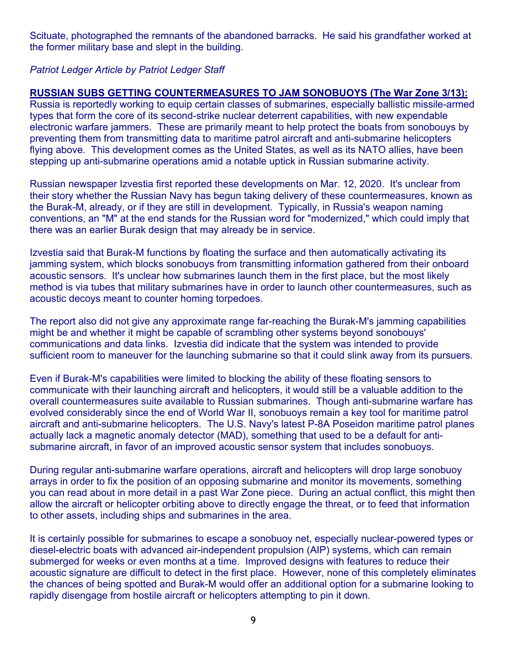Scituate, photographed the remnants of the abandoned barracks. He said his grandfather worked at the former military base and slept in the building.

# *Patriot Ledger Article by Patriot Ledger Staff*

# **RUSSIAN SUBS GETTING COUNTERMEASURES TO JAM SONOBUOYS (The War Zone 3/13):**

Russia is reportedly working to equip certain classes of submarines, especially ballistic missile-armed types that form the core of its second-strike nuclear deterrent capabilities, with new expendable electronic warfare jammers. These are primarily meant to help protect the boats from sonobouys by preventing them from transmitting data to maritime patrol aircraft and anti-submarine helicopters flying above. This development comes as the United States, as well as its NATO allies, have been stepping up anti-submarine operations amid a notable uptick in Russian submarine activity.

Russian newspaper Izvestia first reported these developments on Mar. 12, 2020. It's unclear from their story whether the Russian Navy has begun taking delivery of these countermeasures, known as the Burak-M, already, or if they are still in development. Typically, in Russia's weapon naming conventions, an "M" at the end stands for the Russian word for "modernized," which could imply that there was an earlier Burak design that may already be in service.

Izvestia said that Burak-M functions by floating the surface and then automatically activating its jamming system, which blocks sonobuoys from transmitting information gathered from their onboard acoustic sensors. It's unclear how submarines launch them in the first place, but the most likely method is via tubes that military submarines have in order to launch other countermeasures, such as acoustic decoys meant to counter homing torpedoes.

The report also did not give any approximate range far-reaching the Burak-M's jamming capabilities might be and whether it might be capable of scrambling other systems beyond sonobouys' communications and data links. Izvestia did indicate that the system was intended to provide sufficient room to maneuver for the launching submarine so that it could slink away from its pursuers.

Even if Burak-M's capabilities were limited to blocking the ability of these floating sensors to communicate with their launching aircraft and helicopters, it would still be a valuable addition to the overall countermeasures suite available to Russian submarines. Though anti-submarine warfare has evolved considerably since the end of World War II, sonobuoys remain a key tool for maritime patrol aircraft and anti-submarine helicopters. The U.S. Navy's latest P-8A Poseidon maritime patrol planes actually lack a magnetic anomaly detector (MAD), something that used to be a default for antisubmarine aircraft, in favor of an improved acoustic sensor system that includes sonobuoys.

During regular anti-submarine warfare operations, aircraft and helicopters will drop large sonobuoy arrays in order to fix the position of an opposing submarine and monitor its movements, something you can read about in more detail in a past War Zone piece. During an actual conflict, this might then allow the aircraft or helicopter orbiting above to directly engage the threat, or to feed that information to other assets, including ships and submarines in the area.

It is certainly possible for submarines to escape a sonobuoy net, especially nuclear-powered types or diesel-electric boats with advanced air-independent propulsion (AIP) systems, which can remain submerged for weeks or even months at a time. Improved designs with features to reduce their acoustic signature are difficult to detect in the first place. However, none of this completely eliminates the chances of being spotted and Burak-M would offer an additional option for a submarine looking to rapidly disengage from hostile aircraft or helicopters attempting to pin it down.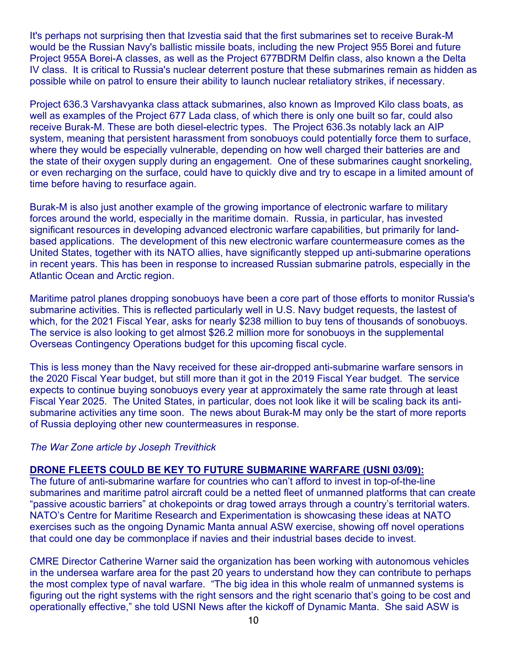It's perhaps not surprising then that Izvestia said that the first submarines set to receive Burak-M would be the Russian Navy's ballistic missile boats, including the new Project 955 Borei and future Project 955A Borei-A classes, as well as the Project 677BDRM Delfin class, also known a the Delta IV class. It is critical to Russia's nuclear deterrent posture that these submarines remain as hidden as possible while on patrol to ensure their ability to launch nuclear retaliatory strikes, if necessary.

Project 636.3 Varshavyanka class attack submarines, also known as Improved Kilo class boats, as well as examples of the Project 677 Lada class, of which there is only one built so far, could also receive Burak-M. These are both diesel-electric types. The Project 636.3s notably lack an AIP system, meaning that persistent harassment from sonobuoys could potentially force them to surface, where they would be especially vulnerable, depending on how well charged their batteries are and the state of their oxygen supply during an engagement. One of these submarines caught snorkeling, or even recharging on the surface, could have to quickly dive and try to escape in a limited amount of time before having to resurface again.

Burak-M is also just another example of the growing importance of electronic warfare to military forces around the world, especially in the maritime domain. Russia, in particular, has invested significant resources in developing advanced electronic warfare capabilities, but primarily for landbased applications. The development of this new electronic warfare countermeasure comes as the United States, together with its NATO allies, have significantly stepped up anti-submarine operations in recent years. This has been in response to increased Russian submarine patrols, especially in the Atlantic Ocean and Arctic region.

Maritime patrol planes dropping sonobuoys have been a core part of those efforts to monitor Russia's submarine activities. This is reflected particularly well in U.S. Navy budget requests, the lastest of which, for the 2021 Fiscal Year, asks for nearly \$238 million to buy tens of thousands of sonobuoys. The service is also looking to get almost \$26.2 million more for sonobuoys in the supplemental Overseas Contingency Operations budget for this upcoming fiscal cycle.

This is less money than the Navy received for these air-dropped anti-submarine warfare sensors in the 2020 Fiscal Year budget, but still more than it got in the 2019 Fiscal Year budget. The service expects to continue buying sonobuoys every year at approximately the same rate through at least Fiscal Year 2025. The United States, in particular, does not look like it will be scaling back its antisubmarine activities any time soon. The news about Burak-M may only be the start of more reports of Russia deploying other new countermeasures in response.

#### *The War Zone article by Joseph Trevithick*

#### **DRONE FLEETS COULD BE KEY TO FUTURE SUBMARINE WARFARE (USNI 03/09):**

The future of anti-submarine warfare for countries who can't afford to invest in top-of-the-line submarines and maritime patrol aircraft could be a netted fleet of unmanned platforms that can create "passive acoustic barriers" at chokepoints or drag towed arrays through a country's territorial waters. NATO's Centre for Maritime Research and Experimentation is showcasing these ideas at NATO exercises such as the ongoing Dynamic Manta annual ASW exercise, showing off novel operations that could one day be commonplace if navies and their industrial bases decide to invest.

CMRE Director Catherine Warner said the organization has been working with autonomous vehicles in the undersea warfare area for the past 20 years to understand how they can contribute to perhaps the most complex type of naval warfare. "The big idea in this whole realm of unmanned systems is figuring out the right systems with the right sensors and the right scenario that's going to be cost and operationally effective," she told USNI News after the kickoff of Dynamic Manta. She said ASW is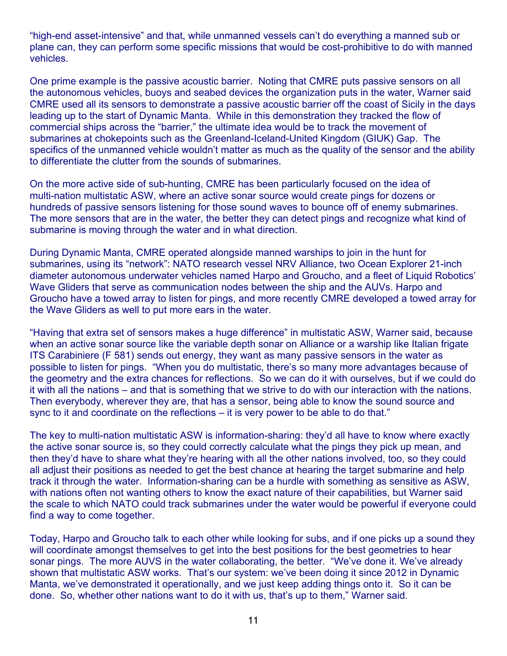"high-end asset-intensive" and that, while unmanned vessels can't do everything a manned sub or plane can, they can perform some specific missions that would be cost-prohibitive to do with manned vehicles.

One prime example is the passive acoustic barrier. Noting that CMRE puts passive sensors on all the autonomous vehicles, buoys and seabed devices the organization puts in the water, Warner said CMRE used all its sensors to demonstrate a passive acoustic barrier off the coast of Sicily in the days leading up to the start of Dynamic Manta. While in this demonstration they tracked the flow of commercial ships across the "barrier," the ultimate idea would be to track the movement of submarines at chokepoints such as the Greenland-Iceland-United Kingdom (GIUK) Gap. The specifics of the unmanned vehicle wouldn't matter as much as the quality of the sensor and the ability to differentiate the clutter from the sounds of submarines.

On the more active side of sub-hunting, CMRE has been particularly focused on the idea of multi-nation multistatic ASW, where an active sonar source would create pings for dozens or hundreds of passive sensors listening for those sound waves to bounce off of enemy submarines. The more sensors that are in the water, the better they can detect pings and recognize what kind of submarine is moving through the water and in what direction.

During Dynamic Manta, CMRE operated alongside manned warships to join in the hunt for submarines, using its "network": NATO research vessel NRV Alliance, two Ocean Explorer 21-inch diameter autonomous underwater vehicles named Harpo and Groucho, and a fleet of Liquid Robotics' Wave Gliders that serve as communication nodes between the ship and the AUVs. Harpo and Groucho have a towed array to listen for pings, and more recently CMRE developed a towed array for the Wave Gliders as well to put more ears in the water.

"Having that extra set of sensors makes a huge difference" in multistatic ASW, Warner said, because when an active sonar source like the variable depth sonar on Alliance or a warship like Italian frigate ITS Carabiniere (F 581) sends out energy, they want as many passive sensors in the water as possible to listen for pings. "When you do multistatic, there's so many more advantages because of the geometry and the extra chances for reflections. So we can do it with ourselves, but if we could do it with all the nations – and that is something that we strive to do with our interaction with the nations. Then everybody, wherever they are, that has a sensor, being able to know the sound source and sync to it and coordinate on the reflections – it is very power to be able to do that."

The key to multi-nation multistatic ASW is information-sharing: they'd all have to know where exactly the active sonar source is, so they could correctly calculate what the pings they pick up mean, and then they'd have to share what they're hearing with all the other nations involved, too, so they could all adjust their positions as needed to get the best chance at hearing the target submarine and help track it through the water. Information-sharing can be a hurdle with something as sensitive as ASW, with nations often not wanting others to know the exact nature of their capabilities, but Warner said the scale to which NATO could track submarines under the water would be powerful if everyone could find a way to come together.

Today, Harpo and Groucho talk to each other while looking for subs, and if one picks up a sound they will coordinate amongst themselves to get into the best positions for the best geometries to hear sonar pings. The more AUVS in the water collaborating, the better. "We've done it. We've already shown that multistatic ASW works. That's our system: we've been doing it since 2012 in Dynamic Manta, we've demonstrated it operationally, and we just keep adding things onto it. So it can be done. So, whether other nations want to do it with us, that's up to them," Warner said.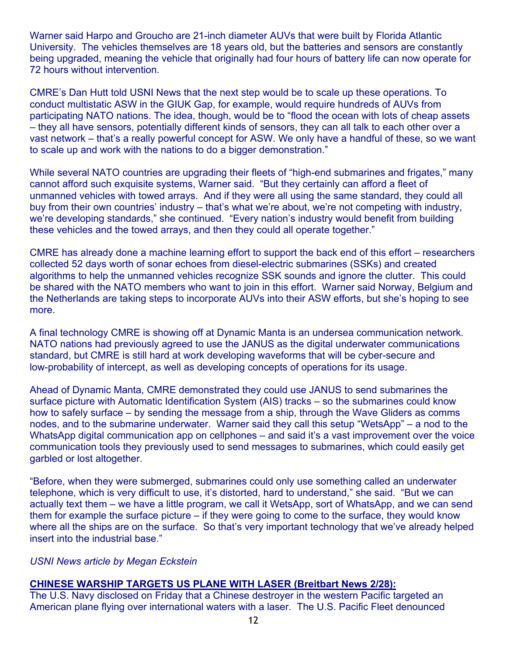Warner said Harpo and Groucho are 21-inch diameter AUVs that were built by Florida Atlantic University. The vehicles themselves are 18 years old, but the batteries and sensors are constantly being upgraded, meaning the vehicle that originally had four hours of battery life can now operate for 72 hours without intervention.

CMRE's Dan Hutt told USNI News that the next step would be to scale up these operations. To conduct multistatic ASW in the GIUK Gap, for example, would require hundreds of AUVs from participating NATO nations. The idea, though, would be to "flood the ocean with lots of cheap assets – they all have sensors, potentially different kinds of sensors, they can all talk to each other over a vast network – that's a really powerful concept for ASW. We only have a handful of these, so we want to scale up and work with the nations to do a bigger demonstration."

While several NATO countries are upgrading their fleets of "high-end submarines and frigates," many cannot afford such exquisite systems, Warner said. "But they certainly can afford a fleet of unmanned vehicles with towed arrays. And if they were all using the same standard, they could all buy from their own countries' industry – that's what we're about, we're not competing with industry, we're developing standards," she continued. "Every nation's industry would benefit from building these vehicles and the towed arrays, and then they could all operate together."

CMRE has already done a machine learning effort to support the back end of this effort – researchers collected 52 days worth of sonar echoes from diesel-electric submarines (SSKs) and created algorithms to help the unmanned vehicles recognize SSK sounds and ignore the clutter. This could be shared with the NATO members who want to join in this effort. Warner said Norway, Belgium and the Netherlands are taking steps to incorporate AUVs into their ASW efforts, but she's hoping to see more.

A final technology CMRE is showing off at Dynamic Manta is an undersea communication network. NATO nations had previously agreed to use the JANUS as the digital underwater communications standard, but CMRE is still hard at work developing waveforms that will be cyber-secure and low-probability of intercept, as well as developing concepts of operations for its usage.

Ahead of Dynamic Manta, CMRE demonstrated they could use JANUS to send submarines the surface picture with Automatic Identification System (AIS) tracks – so the submarines could know how to safely surface – by sending the message from a ship, through the Wave Gliders as comms nodes, and to the submarine underwater. Warner said they call this setup "WetsApp" – a nod to the WhatsApp digital communication app on cellphones – and said it's a vast improvement over the voice communication tools they previously used to send messages to submarines, which could easily get garbled or lost altogether.

"Before, when they were submerged, submarines could only use something called an underwater telephone, which is very difficult to use, it's distorted, hard to understand," she said. "But we can actually text them – we have a little program, we call it WetsApp, sort of WhatsApp, and we can send them for example the surface picture – if they were going to come to the surface, they would know where all the ships are on the surface. So that's very important technology that we've already helped insert into the industrial base."

#### *USNI News article by Megan Eckstein*

#### **CHINESE WARSHIP TARGETS US PLANE WITH LASER (Breitbart News 2/28):**

The U.S. Navy disclosed on Friday that a Chinese destroyer in the western Pacific targeted an American plane flying over international waters with a laser. The U.S. Pacific Fleet denounced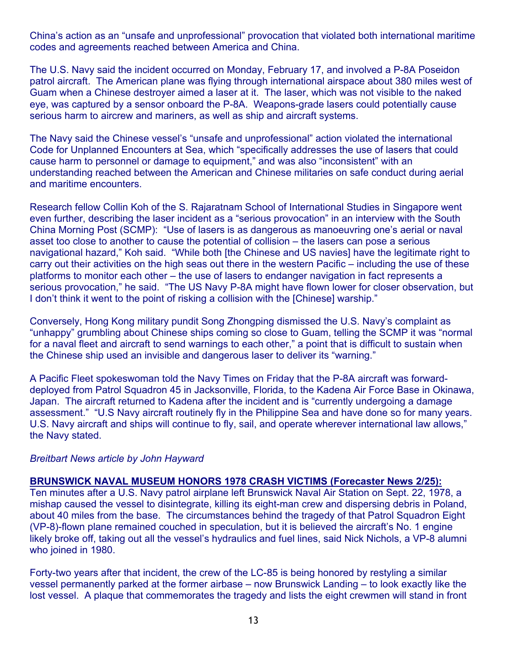China's action as an "unsafe and unprofessional" provocation that violated both international maritime codes and agreements reached between America and China.

The U.S. Navy said the incident occurred on Monday, February 17, and involved a P-8A Poseidon patrol aircraft. The American plane was flying through international airspace about 380 miles west of Guam when a Chinese destroyer aimed a laser at it. The laser, which was not visible to the naked eye, was captured by a sensor onboard the P-8A. Weapons-grade lasers could potentially cause serious harm to aircrew and mariners, as well as ship and aircraft systems.

The Navy said the Chinese vessel's "unsafe and unprofessional" action violated the international Code for Unplanned Encounters at Sea, which "specifically addresses the use of lasers that could cause harm to personnel or damage to equipment," and was also "inconsistent" with an understanding reached between the American and Chinese militaries on safe conduct during aerial and maritime encounters.

Research fellow Collin Koh of the S. Rajaratnam School of International Studies in Singapore went even further, describing the laser incident as a "serious provocation" in an interview with the South China Morning Post (SCMP): "Use of lasers is as dangerous as manoeuvring one's aerial or naval asset too close to another to cause the potential of collision – the lasers can pose a serious navigational hazard," Koh said. "While both [the Chinese and US navies] have the legitimate right to carry out their activities on the high seas out there in the western Pacific – including the use of these platforms to monitor each other – the use of lasers to endanger navigation in fact represents a serious provocation," he said. "The US Navy P-8A might have flown lower for closer observation, but I don't think it went to the point of risking a collision with the [Chinese] warship."

Conversely, Hong Kong military pundit Song Zhongping dismissed the U.S. Navy's complaint as "unhappy" grumbling about Chinese ships coming so close to Guam, telling the SCMP it was "normal for a naval fleet and aircraft to send warnings to each other," a point that is difficult to sustain when the Chinese ship used an invisible and dangerous laser to deliver its "warning."

A Pacific Fleet spokeswoman told the Navy Times on Friday that the P-8A aircraft was forwarddeployed from Patrol Squadron 45 in Jacksonville, Florida, to the Kadena Air Force Base in Okinawa, Japan. The aircraft returned to Kadena after the incident and is "currently undergoing a damage assessment." "U.S Navy aircraft routinely fly in the Philippine Sea and have done so for many years. U.S. Navy aircraft and ships will continue to fly, sail, and operate wherever international law allows," the Navy stated.

#### *Breitbart News article by John Hayward*

#### **BRUNSWICK NAVAL MUSEUM HONORS 1978 CRASH VICTIMS (Forecaster News 2/25):**

Ten minutes after a U.S. Navy patrol airplane left Brunswick Naval Air Station on Sept. 22, 1978, a mishap caused the vessel to disintegrate, killing its eight-man crew and dispersing debris in Poland, about 40 miles from the base. The circumstances behind the tragedy of that Patrol Squadron Eight (VP-8)-flown plane remained couched in speculation, but it is believed the aircraft's No. 1 engine likely broke off, taking out all the vessel's hydraulics and fuel lines, said Nick Nichols, a VP-8 alumni who joined in 1980.

Forty-two years after that incident, the crew of the LC-85 is being honored by restyling a similar vessel permanently parked at the former airbase – now Brunswick Landing – to look exactly like the lost vessel. A plaque that commemorates the tragedy and lists the eight crewmen will stand in front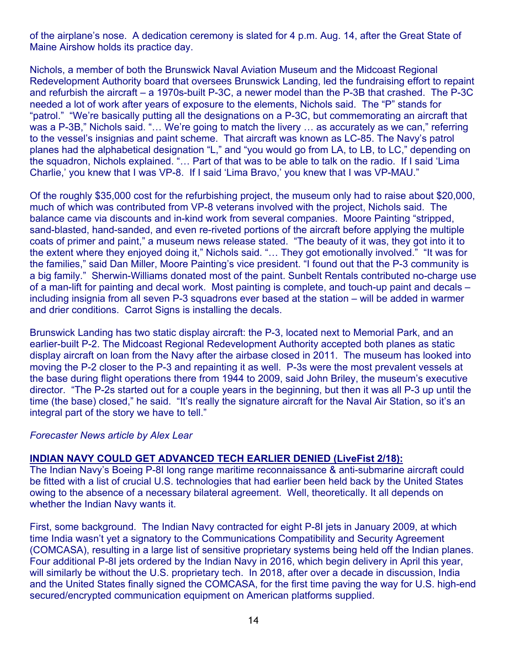of the airplane's nose. A dedication ceremony is slated for 4 p.m. Aug. 14, after the Great State of Maine Airshow holds its practice day.

Nichols, a member of both the Brunswick Naval Aviation Museum and the Midcoast Regional Redevelopment Authority board that oversees Brunswick Landing, led the fundraising effort to repaint and refurbish the aircraft – a 1970s-built P-3C, a newer model than the P-3B that crashed. The P-3C needed a lot of work after years of exposure to the elements, Nichols said. The "P" stands for "patrol." "We're basically putting all the designations on a P-3C, but commemorating an aircraft that was a P-3B," Nichols said. "... We're going to match the livery ... as accurately as we can," referring to the vessel's insignias and paint scheme. That aircraft was known as LC-85. The Navy's patrol planes had the alphabetical designation "L," and "you would go from LA, to LB, to LC," depending on the squadron, Nichols explained. "… Part of that was to be able to talk on the radio. If I said 'Lima Charlie,' you knew that I was VP-8. If I said 'Lima Bravo,' you knew that I was VP-MAU."

Of the roughly \$35,000 cost for the refurbishing project, the museum only had to raise about \$20,000, much of which was contributed from VP-8 veterans involved with the project, Nichols said. The balance came via discounts and in-kind work from several companies. Moore Painting "stripped, sand-blasted, hand-sanded, and even re-riveted portions of the aircraft before applying the multiple coats of primer and paint," a museum news release stated. "The beauty of it was, they got into it to the extent where they enjoyed doing it," Nichols said. "… They got emotionally involved." "It was for the families," said Dan Miller, Moore Painting's vice president. "I found out that the P-3 community is a big family." Sherwin-Williams donated most of the paint. Sunbelt Rentals contributed no-charge use of a man-lift for painting and decal work. Most painting is complete, and touch-up paint and decals – including insignia from all seven P-3 squadrons ever based at the station – will be added in warmer and drier conditions. Carrot Signs is installing the decals.

Brunswick Landing has two static display aircraft: the P-3, located next to Memorial Park, and an earlier-built P-2. The Midcoast Regional Redevelopment Authority accepted both planes as static display aircraft on loan from the Navy after the airbase closed in 2011. The museum has looked into moving the P-2 closer to the P-3 and repainting it as well. P-3s were the most prevalent vessels at the base during flight operations there from 1944 to 2009, said John Briley, the museum's executive director. "The P-2s started out for a couple years in the beginning, but then it was all P-3 up until the time (the base) closed," he said. "It's really the signature aircraft for the Naval Air Station, so it's an integral part of the story we have to tell."

#### *Forecaster News article by Alex Lear*

#### **INDIAN NAVY COULD GET ADVANCED TECH EARLIER DENIED (LiveFist 2/18):**

The Indian Navy's Boeing P-8I long range maritime reconnaissance & anti-submarine aircraft could be fitted with a list of crucial U.S. technologies that had earlier been held back by the United States owing to the absence of a necessary bilateral agreement. Well, theoretically. It all depends on whether the Indian Navy wants it.

First, some background. The Indian Navy contracted for eight P-8I jets in January 2009, at which time India wasn't yet a signatory to the Communications Compatibility and Security Agreement (COMCASA), resulting in a large list of sensitive proprietary systems being held off the Indian planes. Four additional P-8I jets ordered by the Indian Navy in 2016, which begin delivery in April this year, will similarly be without the U.S. proprietary tech. In 2018, after over a decade in discussion, India and the United States finally signed the COMCASA, for the first time paving the way for U.S. high-end secured/encrypted communication equipment on American platforms supplied.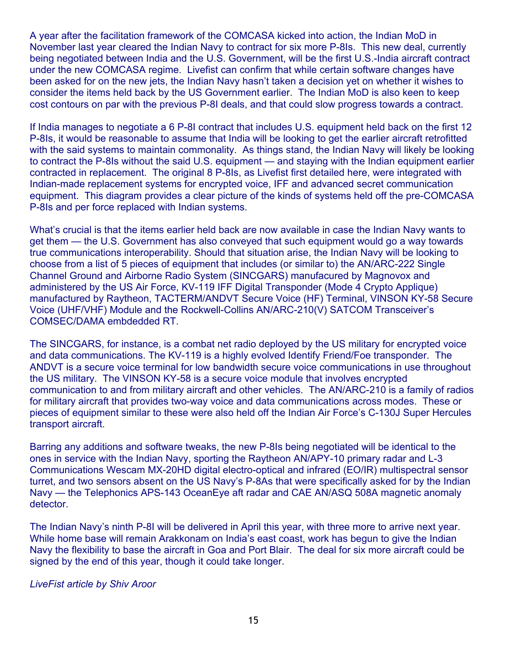A year after the facilitation framework of the COMCASA kicked into action, the Indian MoD in November last year cleared the Indian Navy to contract for six more P-8Is. This new deal, currently being negotiated between India and the U.S. Government, will be the first U.S.-India aircraft contract under the new COMCASA regime. Livefist can confirm that while certain software changes have been asked for on the new jets, the Indian Navy hasn't taken a decision yet on whether it wishes to consider the items held back by the US Government earlier. The Indian MoD is also keen to keep cost contours on par with the previous P-8I deals, and that could slow progress towards a contract.

If India manages to negotiate a 6 P-8I contract that includes U.S. equipment held back on the first 12 P-8Is, it would be reasonable to assume that India will be looking to get the earlier aircraft retrofitted with the said systems to maintain commonality. As things stand, the Indian Navy will likely be looking to contract the P-8Is without the said U.S. equipment — and staying with the Indian equipment earlier contracted in replacement. The original 8 P-8Is, as Livefist first detailed here, were integrated with Indian-made replacement systems for encrypted voice, IFF and advanced secret communication equipment. This diagram provides a clear picture of the kinds of systems held off the pre-COMCASA P-8Is and per force replaced with Indian systems.

What's crucial is that the items earlier held back are now available in case the Indian Navy wants to get them — the U.S. Government has also conveyed that such equipment would go a way towards true communications interoperability. Should that situation arise, the Indian Navy will be looking to choose from a list of 5 pieces of equipment that includes (or similar to) the AN/ARC-222 Single Channel Ground and Airborne Radio System (SINCGARS) manufacured by Magnovox and administered by the US Air Force, KV-119 IFF Digital Transponder (Mode 4 Crypto Applique) manufactured by Raytheon, TACTERM/ANDVT Secure Voice (HF) Terminal, VINSON KY-58 Secure Voice (UHF/VHF) Module and the Rockwell-Collins AN/ARC-210(V) SATCOM Transceiver's COMSEC/DAMA embdedded RT.

The SINCGARS, for instance, is a combat net radio deployed by the US military for encrypted voice and data communications. The KV-119 is a highly evolved Identify Friend/Foe transponder. The ANDVT is a secure voice terminal for low bandwidth secure voice communications in use throughout the US military. The VINSON KY-58 is a secure voice module that involves encrypted communication to and from military aircraft and other vehicles. The AN/ARC-210 is a family of radios for military aircraft that provides two-way voice and data communications across modes. These or pieces of equipment similar to these were also held off the Indian Air Force's C-130J Super Hercules transport aircraft.

Barring any additions and software tweaks, the new P-8Is being negotiated will be identical to the ones in service with the Indian Navy, sporting the Raytheon AN/APY-10 primary radar and L-3 Communications Wescam MX-20HD digital electro-optical and infrared (EO/IR) multispectral sensor turret, and two sensors absent on the US Navy's P-8As that were specifically asked for by the Indian Navy — the Telephonics APS-143 OceanEye aft radar and CAE AN/ASQ 508A magnetic anomaly detector.

The Indian Navy's ninth P-8I will be delivered in April this year, with three more to arrive next year. While home base will remain Arakkonam on India's east coast, work has begun to give the Indian Navy the flexibility to base the aircraft in Goa and Port Blair. The deal for six more aircraft could be signed by the end of this year, though it could take longer.

*LiveFist article by Shiv Aroor*